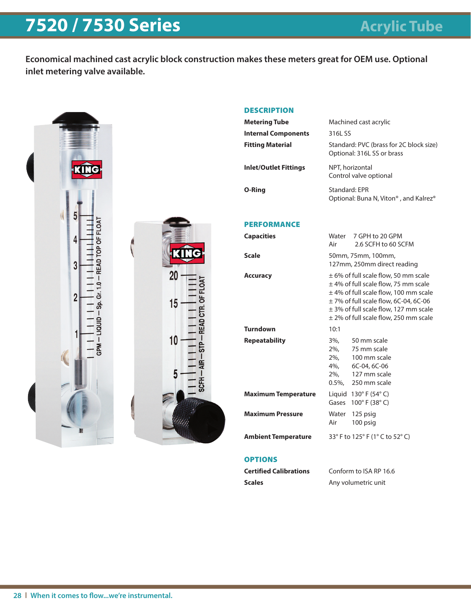## **7520 / 7530 Series Acrylic Tube**

**Economical machined cast acrylic block construction makes these meters great for OEM use. Optional inlet metering valve available.**



### **DESCRIPTION**

| Metering Tube              | Machined cast acrylic                                                           |
|----------------------------|---------------------------------------------------------------------------------|
| <b>Internal Components</b> | 316L SS                                                                         |
| Fitting Material           | Standard: PVC (brass for 2C block size)<br>Optional: 316L SS or brass           |
| Inlet/Outlet Fittings      | NPT, horizontal<br>Control valve optional                                       |
| O-Ring                     | Standard: EPR<br>Optional: Buna N, Viton <sup>®</sup> , and Kalrez <sup>®</sup> |
|                            |                                                                                 |

#### PERFORMANCE

| <b>Capacities</b>          | Air          | Water 7 GPH to 20 GPM<br>2.6 SCFH to 60 SCFM                                                                                                                                                                                                                         |
|----------------------------|--------------|----------------------------------------------------------------------------------------------------------------------------------------------------------------------------------------------------------------------------------------------------------------------|
| <b>Scale</b>               |              | 50mm, 75mm, 100mm,<br>127mm, 250mm direct reading                                                                                                                                                                                                                    |
| <b>Accuracy</b>            |              | $\pm$ 6% of full scale flow, 50 mm scale<br>$\pm$ 4% of full scale flow, 75 mm scale<br>± 4% of full scale flow, 100 mm scale<br>$\pm$ 7% of full scale flow, 6C-04, 6C-06<br>$\pm$ 3% of full scale flow, 127 mm scale<br>$\pm$ 2% of full scale flow, 250 mm scale |
| <b>Turndown</b>            | 10:1         |                                                                                                                                                                                                                                                                      |
| <b>Repeatability</b>       | 3%.          | 50 mm scale<br>2%. 75 mm scale<br>2%. 100 mm scale<br>4%, 6C-04, 6C-06<br>2%. 127 mm scale<br>0.5%, 250 mm scale                                                                                                                                                     |
| <b>Maximum Temperature</b> | Gases        | Liquid $130^\circ$ F (54 $\circ$ C)<br>$100^{\circ}$ F (38 $^{\circ}$ C)                                                                                                                                                                                             |
| <b>Maximum Pressure</b>    | Water<br>Air | 125 psig<br>100 psig                                                                                                                                                                                                                                                 |
| <b>Ambient Temperature</b> |              | 33° F to 125° F (1° C to 52° C)                                                                                                                                                                                                                                      |

#### **OPTIONS**

| Certified Calibrations | Conform to ISA RP 16.6 |
|------------------------|------------------------|
| Scales                 | Any volumetric unit    |